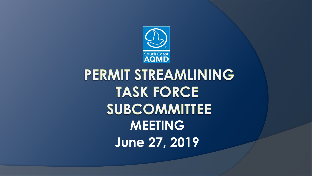

# PERMIT STREAMLINING **TASK FORCE SUBCOMMITTEE MEETING June 27, 2019**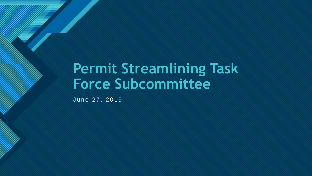# **Permit Streamlining Task Force Subcommittee**

June 27, 2019

**Click to edit Master title style**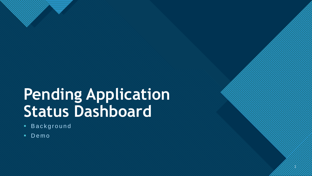# **Pending Application Status Dashboard**

3

3

**Click to edit Master the State of the State of the State of the State of the State of the State of the State of the State of the State of the State of the State of the State of the State of the State of the State of the S** 

- **Background**
- Demo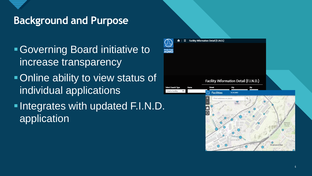

## **Background and Purpose**

Governing Board initiative to increase transparency **- Online ability to view status of** individual applications **-Integrates with updated F.I.N.D.** application

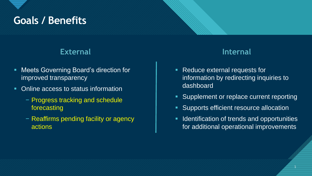# Goals / Benefits **Coals / Benefits**

#### **External Internal**

- **Meets Governing Board's direction for** improved transparency
- Online access to status information
	- − Progress tracking and schedule forecasting
	- − Reaffirms pending facility or agency actions

- **Reduce external requests for** information by redirecting inquiries to dashboard
- **Supplement or replace current reporting**
- Supports efficient resource allocation
- **IDENTIFICATE OF STARK IS ADAM IDENTIFIES** for additional operational improvements

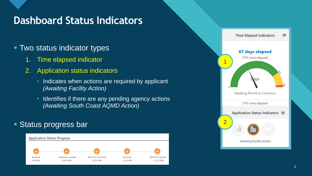## **Dashboard Status Indicators**

#### **Two status indicator types**

- 1. Time elapsed indicator
- 2. Application status indicators
	- Indicates when actions are required by applicant *(Awaiting Facility Action)*
	- Identifies if there are any pending agency actions *(Awaiting South Coast AQMD Action)*

#### **Status progress bar**



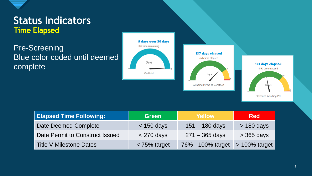

### **Click to edit Controls Status Indicators Time Elapsed**

Pre-Screening Blue color coded until deemed complete







| <b>Elapsed Time Following:</b>  | <b>Green</b>   | Yellow            | <b>Red</b>      |
|---------------------------------|----------------|-------------------|-----------------|
| <b>Date Deemed Complete</b>     | $<$ 150 days   | $151 - 180$ days  | $>$ 180 days    |
| Date Permit to Construct Issued | $<$ 270 days   | $271 - 365$ days  | $>$ 365 days    |
| <b>Title V Milestone Dates</b>  | $<$ 75% target | 76% - 100% target | $>100\%$ target |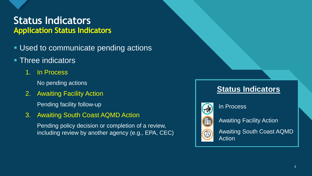

### **Click to edit Controls Status Indicators Application Status Indicators**

**Used to communicate pending actions** 

#### **Three indicators**

1. In Process

No pending actions

2. Awaiting Facility Action

Pending facility follow-up

3. Awaiting South Coast AQMD Action

Pending policy decision or completion of a review, including review by another agency (e.g., EPA, CEC)

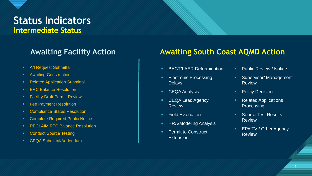## **Click to edit Contractors Intermediate Status**

- **A/I Request Submittal**
- **Awaiting Construction**
- **Related Application Submittal**
- **ERC Balance Resolution**
- **Facility Draft Permit Review**
- **Fee Payment Resolution**
- **EXECOMPLIANCE Status Resolution**
- **EXECOMPLETE:** Complete Required Public Notice
- **RECLAIM RTC Balance Resolution**
- **Conduct Source Testing**
- **EQA Submittal/Addendum**

#### **Awaiting Facility Action Awaiting South Coast AQMD Action**

- **BACT/LAER Determination**
- **Electronic Processing Delays**
- **CEQA Analysis**
- CEQA Lead Agency **Review**
- **Field Evaluation**
- **HRA/Modeling Analysis**
- **Permit to Construct Extension**
- **Public Review / Notice**
- **Supervisor/Management** Review
- **•** Policy Decision
- **Related Applications Processing**
- **Source Test Results** Review
- **EPA TV / Other Agency** Review

<u>=</u>

9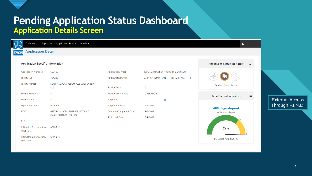

| <b>Application Detail</b><br>South Coast            |                                            |                            |                                        |                                                  |                        |
|-----------------------------------------------------|--------------------------------------------|----------------------------|----------------------------------------|--------------------------------------------------|------------------------|
| <b>Application Specific Information</b>             |                                            |                            |                                        | <b>Application Status Indicators</b><br>$\equiv$ |                        |
| <b>Application Number:</b>                          | 602159                                     | <b>Application Type:</b>   | New Construction (Permit to Construct) |                                                  |                        |
| Facility ID:                                        | 184288                                     | <b>Application Status:</b> | APPLICATION CHANGED FROM CLASS I - III | 壨                                                |                        |
| <b>Facility Name:</b>                               | SENTINEL PEAK RESOURCES CALIFORNIA,<br>LLC | <b>Facility Team:</b>      | $\circ$                                | <b>Awaiting Facility Action</b>                  |                        |
| Permit Number:                                      | $\sim$                                     | Facility Team Name:        | <b>OPERATIONS</b>                      | 這                                                |                        |
| Permit Status:                                      | $\sim$                                     | Engineer:                  | $\smallsetminus$                       | <b>Time Elapsed Indicators</b>                   | <b>External Access</b> |
| <b>Equipment Type:</b>                              | B - Basic                                  | <b>Engineer Phone:</b>     | 909-396-                               |                                                  | Through F.I.N.D.       |
| <b>BCAT:</b>                                        | 053741 - MICRO-TURBINE NOT NAT             | Deemed Completed Date:     | 4/2/2018                               | <b>408 days elapsed</b><br>100% time elapsed     |                        |
|                                                     | <b>GAS, METHANOL OR LPG</b>                | PC Issued Date:            | 5/9/2018                               |                                                  |                        |
| CCAT:                                               | $\sim$ $\sim$                              |                            |                                        |                                                  |                        |
| <b>Estimated Construction</b><br><b>Start Date:</b> | 6/1/2018                                   |                            |                                        | Days                                             |                        |
| <b>Estimated Construction</b><br>End Date:          | 6/1/2018                                   |                            |                                        | PC Issued Awaiting PO                            |                        |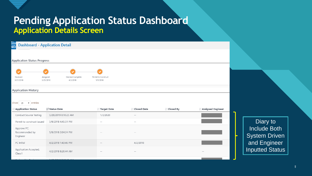

### **Pending Application Status Dashboard Application Details Screen**



Diary to Include Both System Driven and Engineer Inputted Status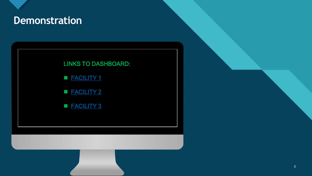

## **Computer title style style style style style style style style style style style style style style style style**

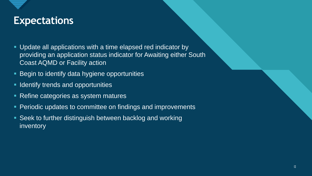# **Click to edit Master title style Expectations**

- Update all applications with a time elapsed red indicator by providing an application status indicator for Awaiting either South Coast AQMD or Facility action
- **Begin to identify data hygiene opportunities**
- **IDENTIFY THEORY AND INCORRY IN A LIGAN IN STARK ISSUES**
- Refine categories as system matures
- **Periodic updates to committee on findings and improvements**
- Seek to further distinguish between backlog and working inventory